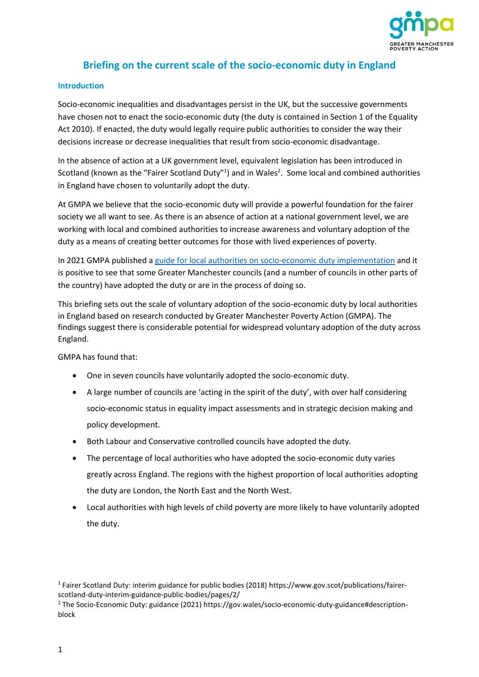

# **Briefing on the current scale of the socio-economic duty in England**

#### **Introduction**

Socio-economic inequalities and disadvantages persist in the UK, but the successive governments have chosen not to enact the socio-economic duty (the duty is contained in Section 1 of the Equality Act 2010). If enacted, the duty would legally require public authorities to consider the way their decisions increase or decrease inequalities that result from socio-economic disadvantage.

In the absence of action at a UK government level, equivalent legislation has been introduced in Scotland (known as the "Fairer Scotland Duty"<sup>1</sup>) and in Wales<sup>2</sup>. Some local and combined authorities in England have chosen to voluntarily adopt the duty.

At GMPA we believe that the socio-economic duty will provide a powerful foundation for the fairer society we all want to see. As there is an absence of action at a national government level, we are working with local and combined authorities to increase awareness and voluntary adoption of the duty as a means of creating better outcomes for those with lived experiences of poverty.

In 2021 GMPA published [a guide for local authorities on socio-economic duty implementation](https://www.gmpovertyaction.org/socio-economic-duty-implementation-guide-for-las/) and it is positive to see that some Greater Manchester councils (and a number of councils in other parts of the country) have adopted the duty or are in the process of doing so.

This briefing sets out the scale of voluntary adoption of the socio-economic duty by local authorities in England based on research conducted by Greater Manchester Poverty Action (GMPA). The findings suggest there is considerable potential for widespread voluntary adoption of the duty across England.

GMPA has found that:

- One in seven councils have voluntarily adopted the socio-economic duty.
- A large number of councils are 'acting in the spirit of the duty', with over half considering socio-economic status in equality impact assessments and in strategic decision making and policy development.
- Both Labour and Conservative controlled councils have adopted the duty.
- The percentage of local authorities who have adopted the socio-economic duty varies greatly across England. The regions with the highest proportion of local authorities adopting the duty are London, the North East and the North West.
- Local authorities with high levels of child poverty are more likely to have voluntarily adopted the duty.

<sup>&</sup>lt;sup>1</sup> Fairer Scotland Duty: interim guidance for public bodies (2018) https://www.gov.scot/publications/fairerscotland-duty-interim-guidance-public-bodies/pages/2/

<sup>2</sup> The Socio-Economic Duty: guidance (2021) https://gov.wales/socio-economic-duty-guidance#descriptionblock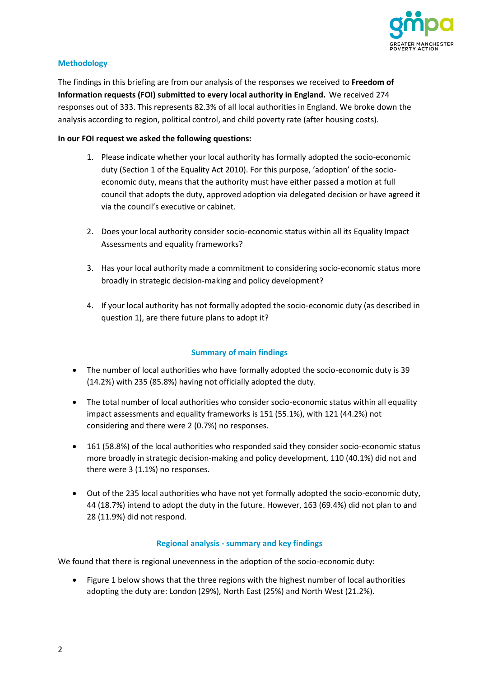

#### **Methodology**

The findings in this briefing are from our analysis of the responses we received to **Freedom of Information requests (FOI) submitted to every local authority in England.** We received 274 responses out of 333. This represents 82.3% of all local authorities in England. We broke down the analysis according to region, political control, and child poverty rate (after housing costs).

#### **In our FOI request we asked the following questions:**

- 1. Please indicate whether your local authority has formally adopted the socio-economic duty (Section 1 of the Equality Act 2010). For this purpose, 'adoption' of the socioeconomic duty, means that the authority must have either passed a motion at full council that adopts the duty, approved adoption via delegated decision or have agreed it via the council's executive or cabinet.
- 2. Does your local authority consider socio-economic status within all its Equality Impact Assessments and equality frameworks?
- 3. Has your local authority made a commitment to considering socio-economic status more broadly in strategic decision-making and policy development?
- 4. If your local authority has not formally adopted the socio-economic duty (as described in question 1), are there future plans to adopt it?

#### **Summary of main findings**

- The number of local authorities who have formally adopted the socio-economic duty is 39 (14.2%) with 235 (85.8%) having not officially adopted the duty.
- The total number of local authorities who consider socio-economic status within all equality impact assessments and equality frameworks is 151 (55.1%), with 121 (44.2%) not considering and there were 2 (0.7%) no responses.
- 161 (58.8%) of the local authorities who responded said they consider socio-economic status more broadly in strategic decision-making and policy development, 110 (40.1%) did not and there were 3 (1.1%) no responses.
- Out of the 235 local authorities who have not yet formally adopted the socio-economic duty, 44 (18.7%) intend to adopt the duty in the future. However, 163 (69.4%) did not plan to and 28 (11.9%) did not respond.

#### **Regional analysis - summary and key findings**

We found that there is regional unevenness in the adoption of the socio-economic duty:

• Figure 1 below shows that the three regions with the highest number of local authorities adopting the duty are: London (29%), North East (25%) and North West (21.2%).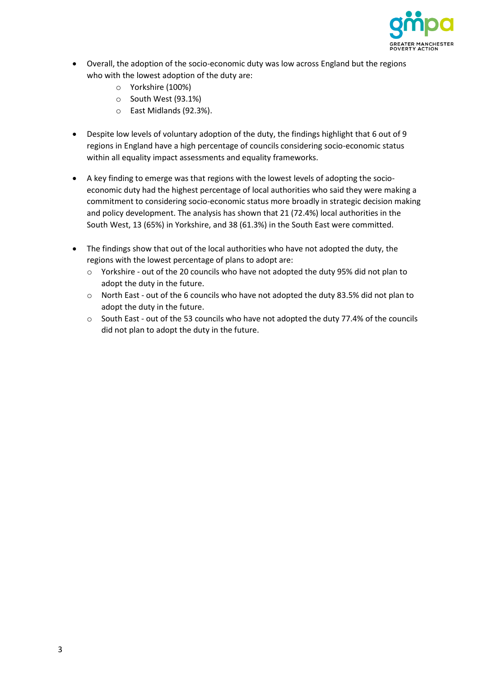

- Overall, the adoption of the socio-economic duty was low across England but the regions who with the lowest adoption of the duty are:
	- o Yorkshire (100%)
	- o South West (93.1%)
	- o East Midlands (92.3%).
- Despite low levels of voluntary adoption of the duty, the findings highlight that 6 out of 9 regions in England have a high percentage of councils considering socio-economic status within all equality impact assessments and equality frameworks.
- A key finding to emerge was that regions with the lowest levels of adopting the socioeconomic duty had the highest percentage of local authorities who said they were making a commitment to considering socio-economic status more broadly in strategic decision making and policy development. The analysis has shown that 21 (72.4%) local authorities in the South West, 13 (65%) in Yorkshire, and 38 (61.3%) in the South East were committed.
- The findings show that out of the local authorities who have not adopted the duty, the regions with the lowest percentage of plans to adopt are:
	- $\circ$  Yorkshire out of the 20 councils who have not adopted the duty 95% did not plan to adopt the duty in the future.
	- o North East out of the 6 councils who have not adopted the duty 83.5% did not plan to adopt the duty in the future.
	- o South East out of the 53 councils who have not adopted the duty 77.4% of the councils did not plan to adopt the duty in the future.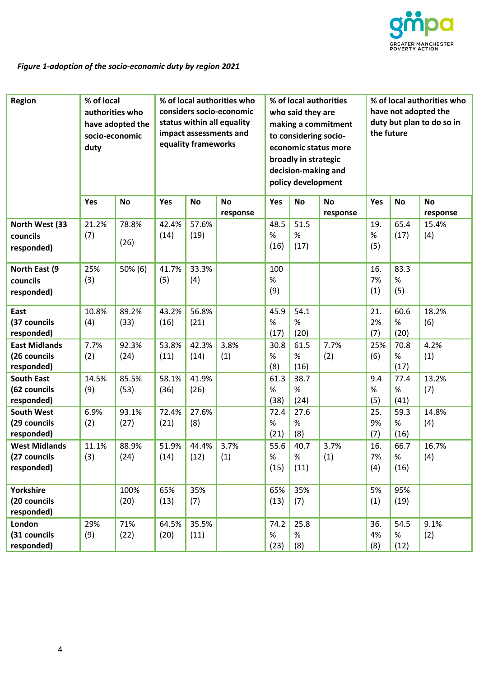

## *Figure 1-adoption of the socio-economic duty by region 2021*

| <b>Region</b>                                      | % of local<br>authorities who<br>have adopted the<br>socio-economic<br>duty |               | % of local authorities who<br>considers socio-economic<br>status within all equality<br>impact assessments and<br>equality frameworks |               |                       | % of local authorities<br>who said they are<br>making a commitment<br>to considering socio-<br>economic status more<br>broadly in strategic<br>decision-making and<br>policy development |                      |                       | % of local authorities who<br>have not adopted the<br>duty but plan to do so in<br>the future |                      |                       |
|----------------------------------------------------|-----------------------------------------------------------------------------|---------------|---------------------------------------------------------------------------------------------------------------------------------------|---------------|-----------------------|------------------------------------------------------------------------------------------------------------------------------------------------------------------------------------------|----------------------|-----------------------|-----------------------------------------------------------------------------------------------|----------------------|-----------------------|
|                                                    | Yes                                                                         | <b>No</b>     | Yes                                                                                                                                   | <b>No</b>     | <b>No</b><br>response | Yes                                                                                                                                                                                      | <b>No</b>            | <b>No</b><br>response | Yes                                                                                           | <b>No</b>            | <b>No</b><br>response |
| North West (33<br>councils<br>responded)           | 21.2%<br>(7)                                                                | 78.8%<br>(26) | 42.4%<br>(14)                                                                                                                         | 57.6%<br>(19) |                       | 48.5<br>$\%$<br>(16)                                                                                                                                                                     | 51.5<br>$\%$<br>(17) |                       | 19.<br>$\%$<br>(5)                                                                            | 65.4<br>(17)         | 15.4%<br>(4)          |
| North East (9<br>councils<br>responded)            | 25%<br>(3)                                                                  | 50% (6)       | 41.7%<br>(5)                                                                                                                          | 33.3%<br>(4)  |                       | 100<br>%<br>(9)                                                                                                                                                                          |                      |                       | 16.<br>7%<br>(1)                                                                              | 83.3<br>%<br>(5)     |                       |
| East<br>(37 councils<br>responded)                 | 10.8%<br>(4)                                                                | 89.2%<br>(33) | 43.2%<br>(16)                                                                                                                         | 56.8%<br>(21) |                       | 45.9<br>$\%$<br>(17)                                                                                                                                                                     | 54.1<br>$\%$<br>(20) |                       | 21.<br>2%<br>(7)                                                                              | 60.6<br>%<br>(20)    | 18.2%<br>(6)          |
| <b>East Midlands</b><br>(26 councils<br>responded) | 7.7%<br>(2)                                                                 | 92.3%<br>(24) | 53.8%<br>(11)                                                                                                                         | 42.3%<br>(14) | 3.8%<br>(1)           | 30.8<br>%<br>(8)                                                                                                                                                                         | 61.5<br>$\%$<br>(16) | 7.7%<br>(2)           | 25%<br>(6)                                                                                    | 70.8<br>%<br>(17)    | 4.2%<br>(1)           |
| <b>South East</b><br>(62 councils<br>responded)    | 14.5%<br>(9)                                                                | 85.5%<br>(53) | 58.1%<br>(36)                                                                                                                         | 41.9%<br>(26) |                       | 61.3<br>$\%$<br>(38)                                                                                                                                                                     | 38.7<br>$\%$<br>(24) |                       | 9.4<br>%<br>(5)                                                                               | 77.4<br>$\%$<br>(41) | 13.2%<br>(7)          |
| <b>South West</b><br>(29 councils<br>responded)    | 6.9%<br>(2)                                                                 | 93.1%<br>(27) | 72.4%<br>(21)                                                                                                                         | 27.6%<br>(8)  |                       | 72.4<br>$\%$<br>(21)                                                                                                                                                                     | 27.6<br>$\%$<br>(8)  |                       | 25.<br>9%<br>(7)                                                                              | 59.3<br>$\%$<br>(16) | 14.8%<br>(4)          |
| <b>West Midlands</b><br>(27 councils<br>responded) | 11.1%<br>(3)                                                                | 88.9%<br>(24) | 51.9%<br>(14)                                                                                                                         | 44.4%<br>(12) | 3.7%<br>(1)           | 55.6<br>$\%$<br>(15)                                                                                                                                                                     | 40.7<br>$\%$<br>(11) | 3.7%<br>(1)           | 16.<br>7%<br>(4)                                                                              | 66.7<br>$\%$<br>(16) | 16.7%<br>(4)          |
| Yorkshire<br>(20 councils<br>responded)            |                                                                             | 100%<br>(20)  | 65%<br>(13)                                                                                                                           | 35%<br>(7)    |                       | 65%<br>(13)                                                                                                                                                                              | 35%<br>(7)           |                       | 5%<br>(1)                                                                                     | 95%<br>(19)          |                       |
| London<br>(31 councils<br>responded)               | 29%<br>(9)                                                                  | 71%<br>(22)   | 64.5%<br>(20)                                                                                                                         | 35.5%<br>(11) |                       | 74.2<br>$\%$<br>(23)                                                                                                                                                                     | 25.8<br>$\%$<br>(8)  |                       | 36.<br>4%<br>(8)                                                                              | 54.5<br>$\%$<br>(12) | 9.1%<br>(2)           |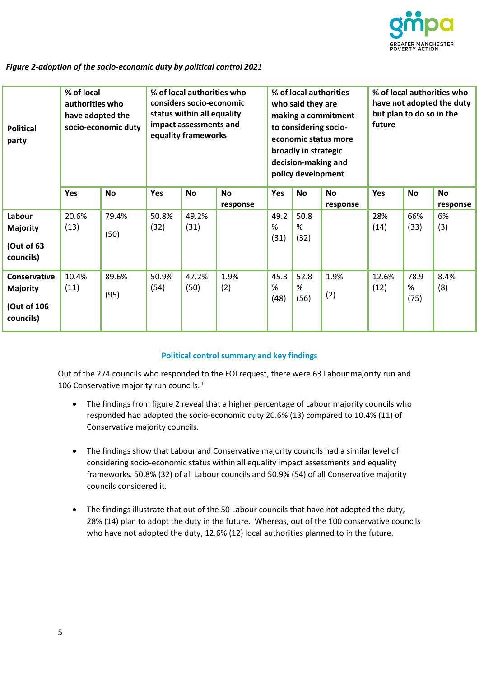

#### *Figure 2-adoption of the socio-economic duty by political control 2021*

| <b>Political</b><br>party                                   | % of local<br>authorities who<br>have adopted the<br>socio-economic duty |               | % of local authorities who<br>considers socio-economic<br>status within all equality<br>impact assessments and<br>equality frameworks |               |                       | % of local authorities<br>who said they are<br>making a commitment<br>to considering socio-<br>economic status more<br>broadly in strategic<br>decision-making and<br>policy development |                   |                       | % of local authorities who<br>have not adopted the duty<br>but plan to do so in the<br>future |                   |                       |
|-------------------------------------------------------------|--------------------------------------------------------------------------|---------------|---------------------------------------------------------------------------------------------------------------------------------------|---------------|-----------------------|------------------------------------------------------------------------------------------------------------------------------------------------------------------------------------------|-------------------|-----------------------|-----------------------------------------------------------------------------------------------|-------------------|-----------------------|
|                                                             | Yes                                                                      | <b>No</b>     | <b>Yes</b>                                                                                                                            | <b>No</b>     | <b>No</b><br>response | Yes                                                                                                                                                                                      | <b>No</b>         | <b>No</b><br>response | Yes                                                                                           | <b>No</b>         | <b>No</b><br>response |
| Labour<br><b>Majority</b><br>(Out of 63<br>councils)        | 20.6%<br>(13)                                                            | 79.4%<br>(50) | 50.8%<br>(32)                                                                                                                         | 49.2%<br>(31) |                       | 49.2<br>%<br>(31)                                                                                                                                                                        | 50.8<br>%<br>(32) |                       | 28%<br>(14)                                                                                   | 66%<br>(33)       | 6%<br>(3)             |
| Conservative<br><b>Majority</b><br>(Out of 106<br>councils) | 10.4%<br>(11)                                                            | 89.6%<br>(95) | 50.9%<br>(54)                                                                                                                         | 47.2%<br>(50) | 1.9%<br>(2)           | 45.3<br>%<br>(48)                                                                                                                                                                        | 52.8<br>%<br>(56) | 1.9%<br>(2)           | 12.6%<br>(12)                                                                                 | 78.9<br>%<br>(75) | 8.4%<br>(8)           |

#### **Political control summary and key findings**

Out of the 274 councils who responded to the FOI request, there were 63 Labour majority run and 106 Conservative majority run councils.<sup>1</sup>

- The findings from figure 2 reveal that a higher percentage of Labour majority councils who responded had adopted the socio-economic duty 20.6% (13) compared to 10.4% (11) of Conservative majority councils.
- The findings show that Labour and Conservative majority councils had a similar level of considering socio-economic status within all equality impact assessments and equality frameworks. 50.8% (32) of all Labour councils and 50.9% (54) of all Conservative majority councils considered it.
- The findings illustrate that out of the 50 Labour councils that have not adopted the duty, 28% (14) plan to adopt the duty in the future. Whereas, out of the 100 conservative councils who have not adopted the duty, 12.6% (12) local authorities planned to in the future.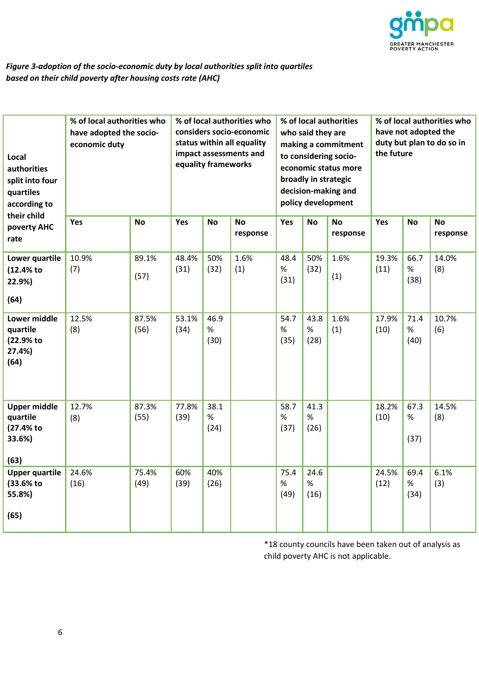

## *Figure 3-adoption of the socio-economic duty by local authorities split into quartiles based on their child poverty after housing costs rate (AHC)*

| Local<br>authorities<br>split into four<br>quartiles<br>according to<br>their child | % of local authorities who<br>have adopted the socio-<br>economic duty |               | % of local authorities who<br>considers socio-economic<br>status within all equality<br>impact assessments and<br>equality frameworks |                      |                       | % of local authorities<br>who said they are<br>making a commitment<br>to considering socio-<br>economic status more<br>broadly in strategic<br>decision-making and<br>policy development |                      |                       | % of local authorities who<br>have not adopted the<br>duty but plan to do so in<br>the future |                      |                       |
|-------------------------------------------------------------------------------------|------------------------------------------------------------------------|---------------|---------------------------------------------------------------------------------------------------------------------------------------|----------------------|-----------------------|------------------------------------------------------------------------------------------------------------------------------------------------------------------------------------------|----------------------|-----------------------|-----------------------------------------------------------------------------------------------|----------------------|-----------------------|
| poverty AHC<br>rate                                                                 | Yes                                                                    | <b>No</b>     | Yes                                                                                                                                   | <b>No</b>            | <b>No</b><br>response | Yes                                                                                                                                                                                      | <b>No</b>            | <b>No</b><br>response | Yes                                                                                           | <b>No</b>            | <b>No</b><br>response |
| Lower quartile<br>(12.4% to<br>22.9%)<br>(64)                                       | 10.9%<br>(7)                                                           | 89.1%<br>(57) | 48.4%<br>(31)                                                                                                                         | 50%<br>(32)          | 1.6%<br>(1)           | 48.4<br>$\%$<br>(31)                                                                                                                                                                     | 50%<br>(32)          | 1.6%<br>(1)           | 19.3%<br>(11)                                                                                 | 66.7<br>$\%$<br>(38) | 14.0%<br>(8)          |
| Lower middle<br>quartile<br>(22.9% to<br>27.4%)<br>(64)                             | 12.5%<br>(8)                                                           | 87.5%<br>(56) | 53.1%<br>(34)                                                                                                                         | 46.9<br>$\%$<br>(30) |                       | 54.7<br>$\%$<br>(35)                                                                                                                                                                     | 43.8<br>$\%$<br>(28) | 1.6%<br>(1)           | 17.9%<br>(10)                                                                                 | 71.4<br>%<br>(40)    | 10.7%<br>(6)          |
| <b>Upper middle</b><br>quartile<br>(27.4% to<br>33.6%)<br>(63)                      | 12.7%<br>(8)                                                           | 87.3%<br>(55) | 77.8%<br>(39)                                                                                                                         | 38.1<br>%<br>(24)    |                       | 58.7<br>%<br>(37)                                                                                                                                                                        | 41.3<br>%<br>(26)    |                       | 18.2%<br>(10)                                                                                 | 67.3<br>%<br>(37)    | 14.5%<br>(8)          |
| <b>Upper quartile</b><br>(33.6% to<br>55.8%)<br>(65)                                | 24.6%<br>(16)                                                          | 75.4%<br>(49) | 60%<br>(39)                                                                                                                           | 40%<br>(26)          |                       | 75.4<br>$\%$<br>(49)                                                                                                                                                                     | 24.6<br>$\%$<br>(16) |                       | 24.5%<br>(12)                                                                                 | 69.4<br>%<br>(34)    | 6.1%<br>(3)           |

\*18 county councils have been taken out of analysis as child poverty AHC is not applicable.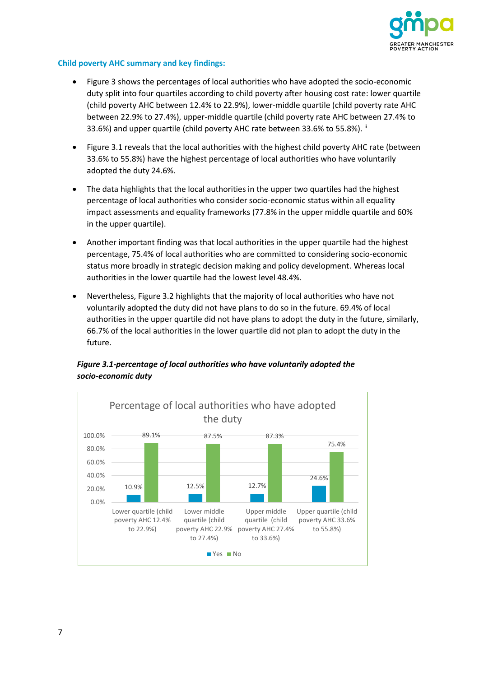

#### **Child poverty AHC summary and key findings:**

- Figure 3 shows the percentages of local authorities who have adopted the socio-economic duty split into four quartiles according to child poverty after housing cost rate: lower quartile (child poverty AHC between 12.4% to 22.9%), lower-middle quartile (child poverty rate AHC between 22.9% to 27.4%), upper-middle quartile (child poverty rate AHC between 27.4% to 33.6%) and upper quartile (child poverty AHC rate between 33.6% to 55.8%). ii
- Figure 3.1 reveals that the local authorities with the highest child poverty AHC rate (between 33.6% to 55.8%) have the highest percentage of local authorities who have voluntarily adopted the duty 24.6%.
- The data highlights that the local authorities in the upper two quartiles had the highest percentage of local authorities who consider socio-economic status within all equality impact assessments and equality frameworks (77.8% in the upper middle quartile and 60% in the upper quartile).
- Another important finding was that local authorities in the upper quartile had the highest percentage, 75.4% of local authorities who are committed to considering socio-economic status more broadly in strategic decision making and policy development. Whereas local authorities in the lower quartile had the lowest level 48.4%.
- Nevertheless, Figure 3.2 highlights that the majority of local authorities who have not voluntarily adopted the duty did not have plans to do so in the future. 69.4% of local authorities in the upper quartile did not have plans to adopt the duty in the future, similarly, 66.7% of the local authorities in the lower quartile did not plan to adopt the duty in the future.



### *Figure 3.1-percentage of local authorities who have voluntarily adopted the socio-economic duty*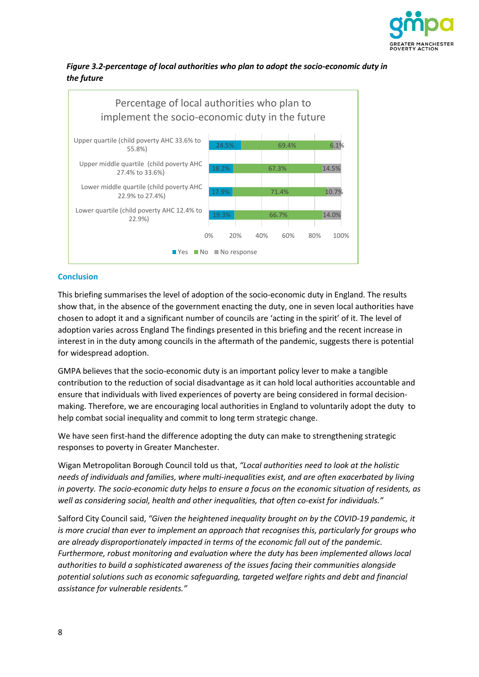

### *Figure 3.2-percentage of local authorities who plan to adopt the socio-economic duty in the future*



#### **Conclusion**

This briefing summarises the level of adoption of the socio-economic duty in England. The results show that, in the absence of the government enacting the duty, one in seven local authorities have chosen to adopt it and a significant number of councils are 'acting in the spirit' of it. The level of adoption varies across England The findings presented in this briefing and the recent increase in interest in in the duty among councils in the aftermath of the pandemic, suggests there is potential for widespread adoption.

GMPA believes that the socio-economic duty is an important policy lever to make a tangible contribution to the reduction of social disadvantage as it can hold local authorities accountable and ensure that individuals with lived experiences of poverty are being considered in formal decisionmaking. Therefore, we are encouraging local authorities in England to voluntarily adopt the duty to help combat social inequality and commit to long term strategic change.

We have seen first-hand the difference adopting the duty can make to strengthening strategic responses to poverty in Greater Manchester.

Wigan Metropolitan Borough Council told us that, *"Local authorities need to look at the holistic needs of individuals and families, where multi-inequalities exist, and are often exacerbated by living in poverty. The socio-economic duty helps to ensure a focus on the economic situation of residents, as well as considering social, health and other inequalities, that often co-exist for individuals."*

Salford City Council said, *"Given the heightened inequality brought on by the COVID-19 pandemic, it is more crucial than ever to implement an approach that recognises this, particularly for groups who are already disproportionately impacted in terms of the economic fall out of the pandemic. Furthermore, robust monitoring and evaluation where the duty has been implemented allows local authorities to build a sophisticated awareness of the issues facing their communities alongside potential solutions such as economic safeguarding, targeted welfare rights and debt and financial assistance for vulnerable residents."*